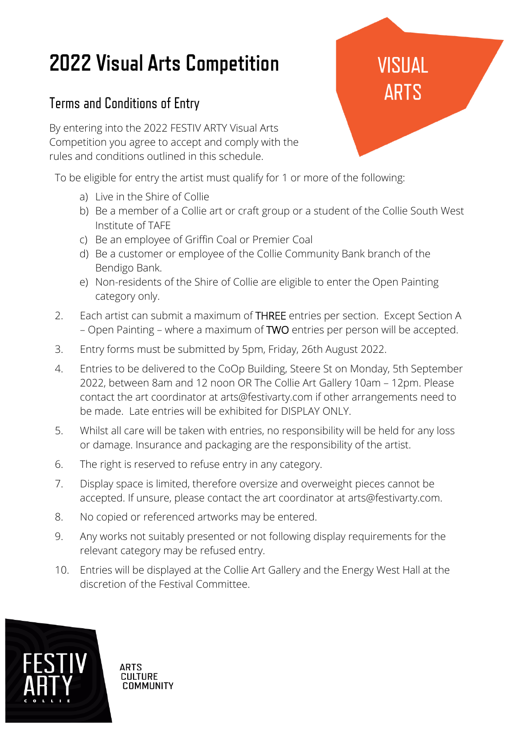## **2022 Visual Arts Competition**

## Terms and Conditions of Entry

By entering into the 2022 FESTIV ARTY Visual Arts Competition you agree to accept and comply with the rules and conditions outlined in this schedule.

To be eligible for entry the artist must qualify for 1 or more of the following:

- a) Live in the Shire of Collie
- b) Be a member of a Collie art or craft group or a student of the Collie South West Institute of TAFE
- c) Be an employee of Griffin Coal or Premier Coal
- d) Be a customer or employee of the Collie Community Bank branch of the Bendigo Bank.
- e) Non-residents of the Shire of Collie are eligible to enter the Open Painting category only.
- 2. Each artist can submit a maximum of THREE entries per section. Except Section A – Open Painting – where a maximum of TWO entries per person will be accepted.
- 3. Entry forms must be submitted by 5pm, Friday, 26th August 2022.
- 4. Entries to be delivered to the CoOp Building, Steere St on Monday, 5th September 2022, between 8am and 12 noon OR The Collie Art Gallery 10am – 12pm. Please contact the art coordinator at arts@festivarty.com if other arrangements need to be made. Late entries will be exhibited for DISPLAY ONLY.
- 5. Whilst all care will be taken with entries, no responsibility will be held for any loss or damage. Insurance and packaging are the responsibility of the artist.
- 6. The right is reserved to refuse entry in any category.
- 7. Display space is limited, therefore oversize and overweight pieces cannot be accepted. If unsure, please contact the art coordinator at arts@festivarty.com.
- 8. No copied or referenced artworks may be entered.
- 9. Any works not suitably presented or not following display requirements for the relevant category may be refused entry.
- 10. Entries will be displayed at the Collie Art Gallery and the Energy West Hall at the discretion of the Festival Committee.



ARTS **CULTURE COMMUNITY** 

## **VISUAL ARTS**